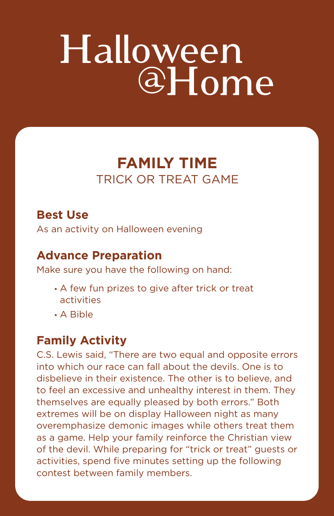# Halloween  $a<sub>H</sub>$  ome

# **FAMILY TIME** TRICK OR TREAT GAME

## **Best Use**

As an activity on Halloween evening

### **Advance Preparation**

Make sure you have the following on hand:

- A few fun prizes to give after trick or treat activities
- A Bible

### **Family Activity**

C.S. Lewis said, "There are two equal and opposite errors into which our race can fall about the devils. One is to disbelieve in their existence. The other is to believe, and to feel an excessive and unhealthy interest in them. They themselves are equally pleased by both errors." Both extremes will be on display Halloween night as many overemphasize demonic images while others treat them as a game. Help your family reinforce the Christian view of the devil. While preparing for "trick or treat" guests or activities, spend five minutes setting up the following contest between family members.